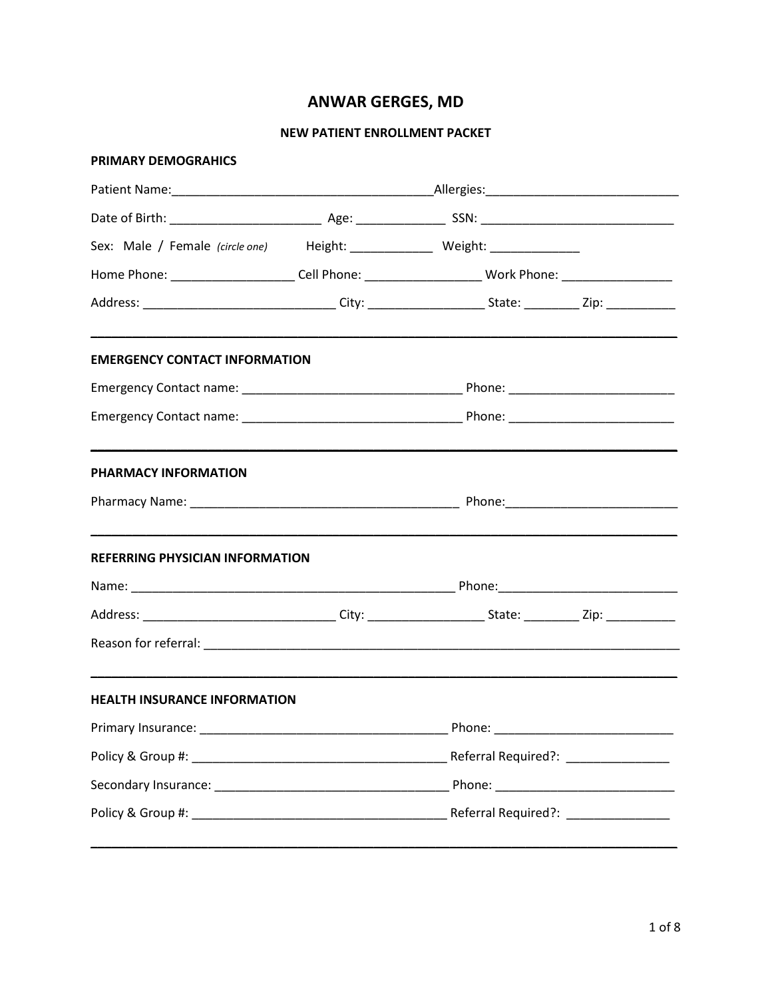# **ANWAR GERGES, MD**

### **NEW PATIENT ENROLLMENT PACKET**

| <b>PRIMARY DEMOGRAHICS</b>                                                                                    |  |  |  |  |
|---------------------------------------------------------------------------------------------------------------|--|--|--|--|
|                                                                                                               |  |  |  |  |
|                                                                                                               |  |  |  |  |
| Sex: Male / Female (circle one) Height: _____________ Weight: ____________                                    |  |  |  |  |
| Home Phone: _______________________Cell Phone: ___________________________Work Phone: ___________________     |  |  |  |  |
| Address: _________________________________City: _______________________State: ____________Zip: ______________ |  |  |  |  |
| <b>EMERGENCY CONTACT INFORMATION</b>                                                                          |  |  |  |  |
|                                                                                                               |  |  |  |  |
|                                                                                                               |  |  |  |  |
| <b>PHARMACY INFORMATION</b>                                                                                   |  |  |  |  |
|                                                                                                               |  |  |  |  |
| <b>REFERRING PHYSICIAN INFORMATION</b>                                                                        |  |  |  |  |
|                                                                                                               |  |  |  |  |
| Address: ________________________________City: _______________________State: ____________Zip: _______________ |  |  |  |  |
|                                                                                                               |  |  |  |  |
| <b>HEALTH INSURANCE INFORMATION</b>                                                                           |  |  |  |  |
|                                                                                                               |  |  |  |  |
|                                                                                                               |  |  |  |  |
|                                                                                                               |  |  |  |  |
|                                                                                                               |  |  |  |  |
|                                                                                                               |  |  |  |  |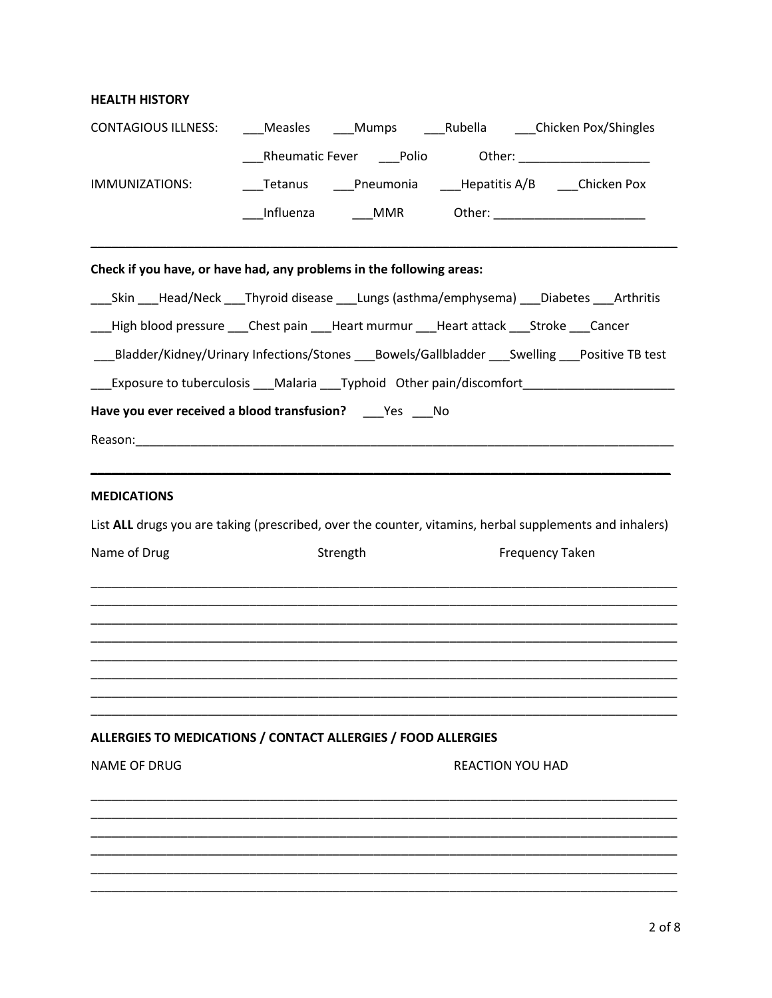## **HEALTH HISTORY**

| <b>CONTAGIOUS ILLNESS:</b>                                                              |          |                         | Measles Mumps Rubella Chicken Pox/Shingles                                                              |
|-----------------------------------------------------------------------------------------|----------|-------------------------|---------------------------------------------------------------------------------------------------------|
|                                                                                         |          |                         |                                                                                                         |
| IMMUNIZATIONS:                                                                          |          |                         | ___Tetanus ____Pneumonia ____Hepatitis A/B ____Chicken Pox                                              |
|                                                                                         |          |                         |                                                                                                         |
| Check if you have, or have had, any problems in the following areas:                    |          |                         |                                                                                                         |
|                                                                                         |          |                         | ___Skin ___Head/Neck ___Thyroid disease ___Lungs (asthma/emphysema) ___Diabetes ___Arthritis            |
| __High blood pressure ___Chest pain ___Heart murmur ___Heart attack ___Stroke ___Cancer |          |                         |                                                                                                         |
|                                                                                         |          |                         | ___Bladder/Kidney/Urinary Infections/Stones ___Bowels/Gallbladder ___Swelling ___Positive TB test       |
|                                                                                         |          |                         | ___Exposure to tuberculosis ___Malaria ___Typhoid Other pain/discomfort ___________________________     |
| Have you ever received a blood transfusion? ____Yes ____No                              |          |                         |                                                                                                         |
|                                                                                         |          |                         |                                                                                                         |
|                                                                                         |          |                         |                                                                                                         |
| <b>MEDICATIONS</b>                                                                      |          |                         |                                                                                                         |
|                                                                                         |          |                         | List ALL drugs you are taking (prescribed, over the counter, vitamins, herbal supplements and inhalers) |
| Name of Drug                                                                            | Strength |                         | <b>Frequency Taken</b>                                                                                  |
|                                                                                         |          |                         |                                                                                                         |
|                                                                                         |          |                         |                                                                                                         |
|                                                                                         |          |                         |                                                                                                         |
|                                                                                         |          |                         |                                                                                                         |
|                                                                                         |          |                         |                                                                                                         |
|                                                                                         |          |                         |                                                                                                         |
| ALLERGIES TO MEDICATIONS / CONTACT ALLERGIES / FOOD ALLERGIES                           |          |                         |                                                                                                         |
| <b>NAME OF DRUG</b>                                                                     |          | <b>REACTION YOU HAD</b> |                                                                                                         |
|                                                                                         |          |                         |                                                                                                         |
|                                                                                         |          |                         |                                                                                                         |
|                                                                                         |          |                         |                                                                                                         |
|                                                                                         |          |                         |                                                                                                         |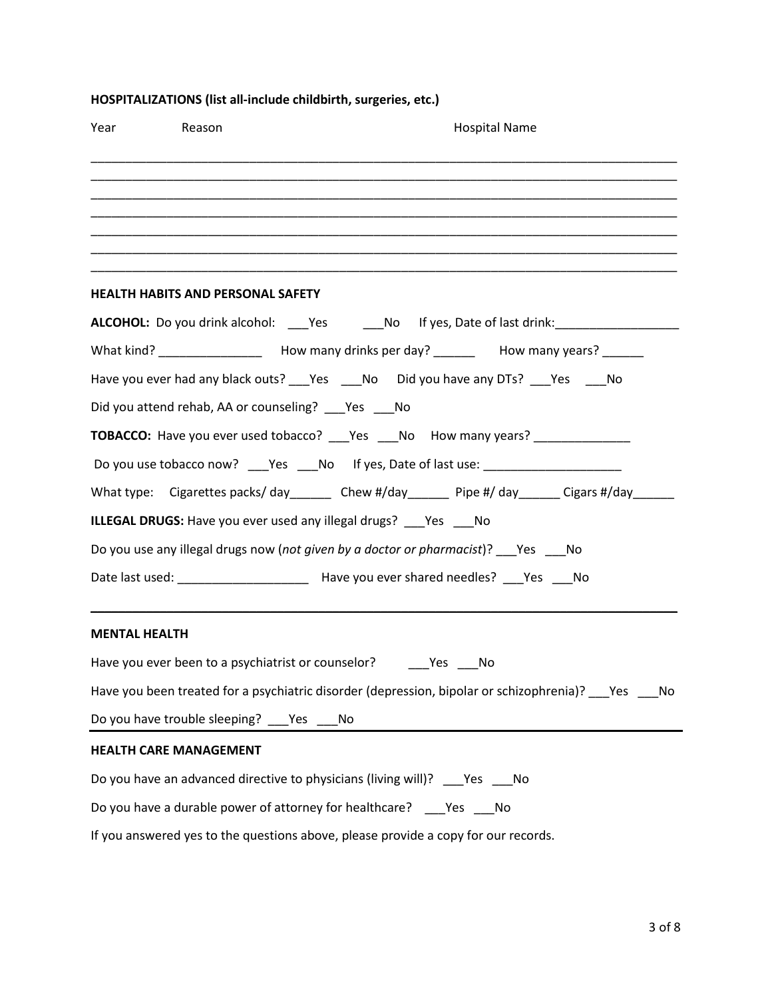|                      | Year Reason                                            | <b>Hospital Name</b>                                                                                     |  |  |
|----------------------|--------------------------------------------------------|----------------------------------------------------------------------------------------------------------|--|--|
|                      |                                                        |                                                                                                          |  |  |
|                      |                                                        |                                                                                                          |  |  |
|                      |                                                        |                                                                                                          |  |  |
|                      | <b>HEALTH HABITS AND PERSONAL SAFETY</b>               |                                                                                                          |  |  |
|                      |                                                        | ALCOHOL: Do you drink alcohol: ____Yes ________No lf yes, Date of last drink:______________________      |  |  |
|                      |                                                        |                                                                                                          |  |  |
|                      |                                                        | Have you ever had any black outs? _____ Yes ______ No Did you have any DTs? ______Yes ______ No          |  |  |
|                      | Did you attend rehab, AA or counseling? ___ Yes ___ No |                                                                                                          |  |  |
|                      |                                                        | <b>TOBACCO:</b> Have you ever used tobacco? ___ Yes ___ No How many years? ___________                   |  |  |
|                      |                                                        | Do you use tobacco now? ____Yes ____No lf yes, Date of last use: ________________                        |  |  |
|                      |                                                        | What type: Cigarettes packs/day_______ Chew #/day______ Pipe #/day______ Cigars #/day______              |  |  |
|                      |                                                        | <b>ILLEGAL DRUGS:</b> Have you ever used any illegal drugs? ___ Yes ___ No                               |  |  |
|                      |                                                        | Do you use any illegal drugs now (not given by a doctor or pharmacist)? Pes Mo                           |  |  |
|                      |                                                        |                                                                                                          |  |  |
| <b>MENTAL HEALTH</b> |                                                        |                                                                                                          |  |  |
|                      |                                                        |                                                                                                          |  |  |
|                      |                                                        | Have you been treated for a psychiatric disorder (depression, bipolar or schizophrenia)? ___ Yes ____ No |  |  |
|                      | Do you have trouble sleeping? ___ Yes ___ No           |                                                                                                          |  |  |
|                      | <b>HEALTH CARE MANAGEMENT</b>                          |                                                                                                          |  |  |
|                      |                                                        | Do you have an advanced directive to physicians (living will)? ___Yes ___No                              |  |  |
|                      |                                                        | Do you have a durable power of attorney for healthcare? _____ Yes _____ No                               |  |  |
|                      |                                                        | If you answered yes to the questions above, please provide a copy for our records.                       |  |  |

## **HOSPITALIZATIONS (list all-include childbirth, surgeries, etc.)**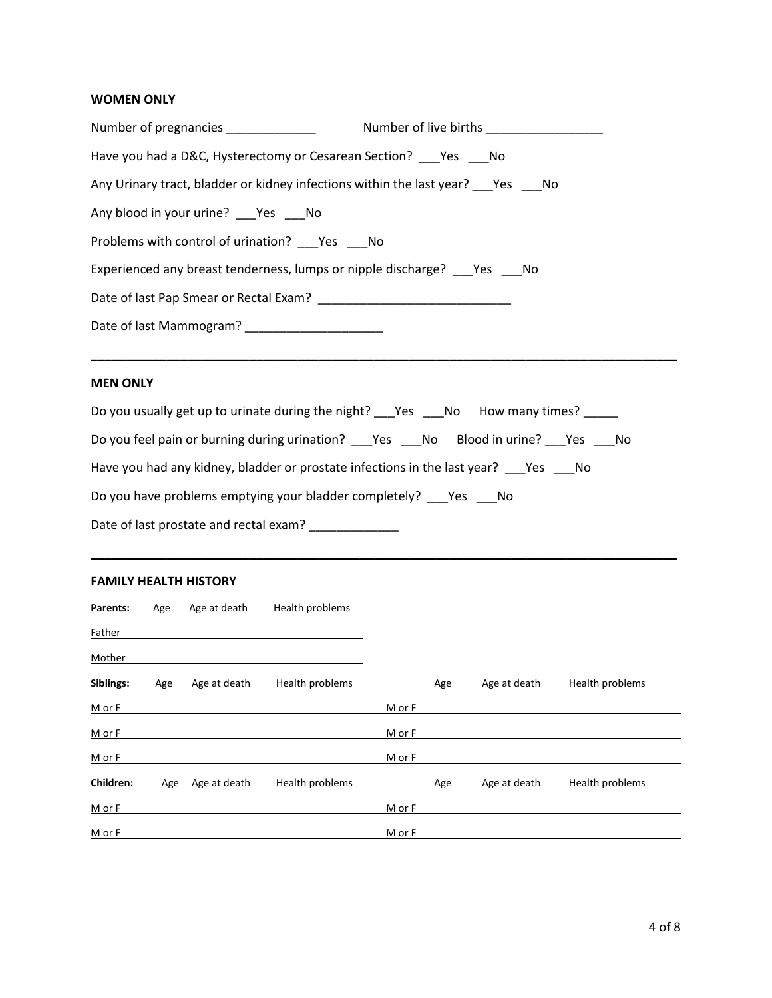## **WOMEN ONLY**

| Number of pregnancies ______________                                             |  |
|----------------------------------------------------------------------------------|--|
| Have you had a D&C, Hysterectomy or Cesarean Section? Pes No                     |  |
| Any Urinary tract, bladder or kidney infections within the last year? Pes Mo     |  |
| Any blood in your urine? ___Yes ___No                                            |  |
| Problems with control of urination? Problems with control of urination? Problems |  |
| Experienced any breast tenderness, lumps or nipple discharge? _____Yes ______No  |  |
|                                                                                  |  |
| Date of last Mammogram? _____________________                                    |  |

**\_\_\_\_\_\_\_\_\_\_\_\_\_\_\_\_\_\_\_\_\_\_\_\_\_\_\_\_\_\_\_\_\_\_\_\_\_\_\_\_\_\_\_\_\_\_\_\_\_\_\_\_\_\_\_\_\_\_\_\_\_\_\_\_\_\_\_\_\_\_\_\_\_\_\_\_\_\_\_\_\_\_\_\_\_**

## **MEN ONLY**

| Do you usually get up to urinate during the night? ___Yes ____No How many times? ______ |
|-----------------------------------------------------------------------------------------|
| Do you feel pain or burning during urination? ___Yes ___No Blood in urine? ___Yes ___No |
| Have you had any kidney, bladder or prostate infections in the last year? Pes No        |
| Do you have problems emptying your bladder completely? Yes No                           |
| Date of last prostate and rectal exam?                                                  |

**\_\_\_\_\_\_\_\_\_\_\_\_\_\_\_\_\_\_\_\_\_\_\_\_\_\_\_\_\_\_\_\_\_\_\_\_\_\_\_\_\_\_\_\_\_\_\_\_\_\_\_\_\_\_\_\_\_\_\_\_\_\_\_\_\_\_\_\_\_\_\_\_\_\_\_\_\_\_\_\_\_\_\_\_\_**

#### **FAMILY HEALTH HISTORY**

| Parents:  | Age | Age at death | Health problems |        |     |              |                 |
|-----------|-----|--------------|-----------------|--------|-----|--------------|-----------------|
| Father    |     |              |                 |        |     |              |                 |
| Mother    |     |              |                 |        |     |              |                 |
| Siblings: | Age | Age at death | Health problems |        | Age | Age at death | Health problems |
| M or F    |     |              |                 | M or F |     |              |                 |
| $M$ or F  |     |              |                 | M or F |     |              |                 |
| M or F    |     |              |                 | M or F |     |              |                 |
| Children: | Age | Age at death | Health problems |        | Age | Age at death | Health problems |
| M or F    |     |              |                 | M or F |     |              |                 |
| $M$ or F  |     |              |                 | M or F |     |              |                 |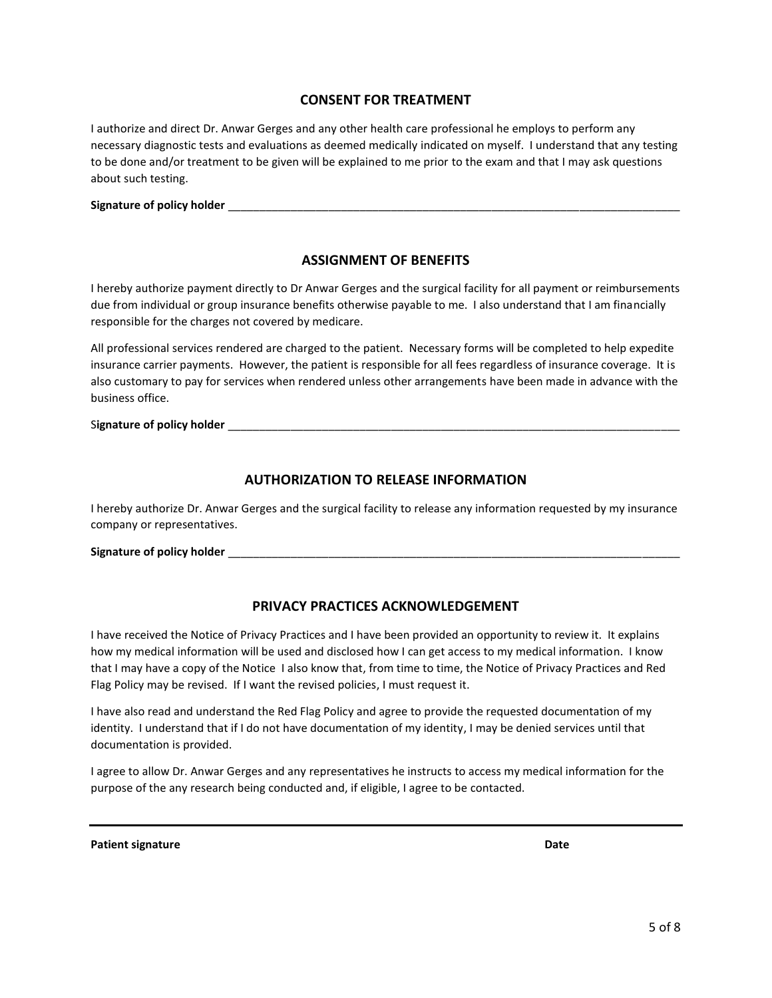#### **CONSENT FOR TREATMENT**

I authorize and direct Dr. Anwar Gerges and any other health care professional he employs to perform any necessary diagnostic tests and evaluations as deemed medically indicated on myself. I understand that any testing to be done and/or treatment to be given will be explained to me prior to the exam and that I may ask questions about such testing.

| <b>Signature of policy holder</b> |  |
|-----------------------------------|--|
|                                   |  |

#### **ASSIGNMENT OF BENEFITS**

I hereby authorize payment directly to Dr Anwar Gerges and the surgical facility for all payment or reimbursements due from individual or group insurance benefits otherwise payable to me. I also understand that I am financially responsible for the charges not covered by medicare.

All professional services rendered are charged to the patient. Necessary forms will be completed to help expedite insurance carrier payments. However, the patient is responsible for all fees regardless of insurance coverage. It is also customary to pay for services when rendered unless other arrangements have been made in advance with the business office.

Signature of policy holder

#### **AUTHORIZATION TO RELEASE INFORMATION**

I hereby authorize Dr. Anwar Gerges and the surgical facility to release any information requested by my insurance company or representatives.

Signature of policy holder

#### **PRIVACY PRACTICES ACKNOWLEDGEMENT**

I have received the Notice of Privacy Practices and I have been provided an opportunity to review it. It explains how my medical information will be used and disclosed how I can get access to my medical information. I know that I may have a copy of the Notice I also know that, from time to time, the Notice of Privacy Practices and Red Flag Policy may be revised. If I want the revised policies, I must request it.

I have also read and understand the Red Flag Policy and agree to provide the requested documentation of my identity. I understand that if I do not have documentation of my identity, I may be denied services until that documentation is provided.

I agree to allow Dr. Anwar Gerges and any representatives he instructs to access my medical information for the purpose of the any research being conducted and, if eligible, I agree to be contacted.

**Patient signature Date**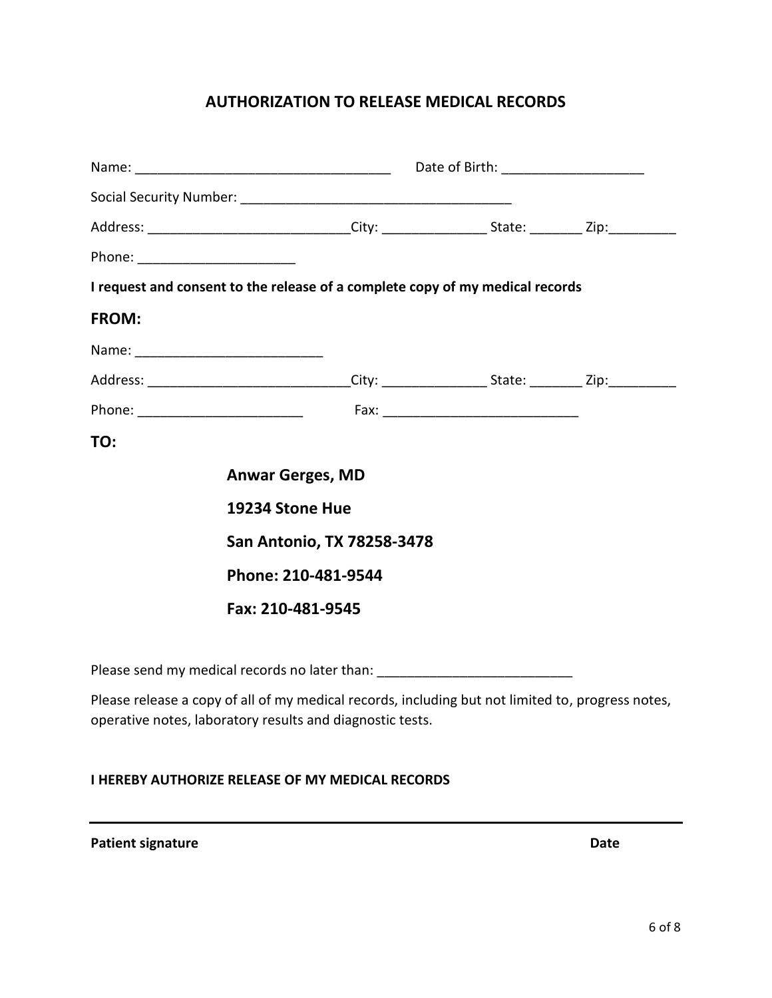# **AUTHORIZATION TO RELEASE MEDICAL RECORDS**

|                                                                                                                                                                | Address: ______________________________City: ____________________State: __________Zip:_____________ |  |  |  |  |
|----------------------------------------------------------------------------------------------------------------------------------------------------------------|-----------------------------------------------------------------------------------------------------|--|--|--|--|
| Phone: ________________________                                                                                                                                |                                                                                                     |  |  |  |  |
|                                                                                                                                                                | I request and consent to the release of a complete copy of my medical records                       |  |  |  |  |
| <b>FROM:</b>                                                                                                                                                   |                                                                                                     |  |  |  |  |
| Name: ___________________________________                                                                                                                      |                                                                                                     |  |  |  |  |
|                                                                                                                                                                |                                                                                                     |  |  |  |  |
| Phone: _________________________                                                                                                                               |                                                                                                     |  |  |  |  |
| TO:                                                                                                                                                            |                                                                                                     |  |  |  |  |
|                                                                                                                                                                | <b>Anwar Gerges, MD</b>                                                                             |  |  |  |  |
|                                                                                                                                                                | 19234 Stone Hue                                                                                     |  |  |  |  |
|                                                                                                                                                                | <b>San Antonio, TX 78258-3478</b>                                                                   |  |  |  |  |
|                                                                                                                                                                | Phone: 210-481-9544                                                                                 |  |  |  |  |
|                                                                                                                                                                | Fax: 210-481-9545                                                                                   |  |  |  |  |
|                                                                                                                                                                |                                                                                                     |  |  |  |  |
|                                                                                                                                                                | Please send my medical records no later than: __________________________________                    |  |  |  |  |
| Please release a copy of all of my medical records, including but not limited to, progress notes,<br>operative notes, laboratory results and diagnostic tests. |                                                                                                     |  |  |  |  |

### **I HEREBY AUTHORIZE RELEASE OF MY MEDICAL RECORDS**

**Patient signature Date**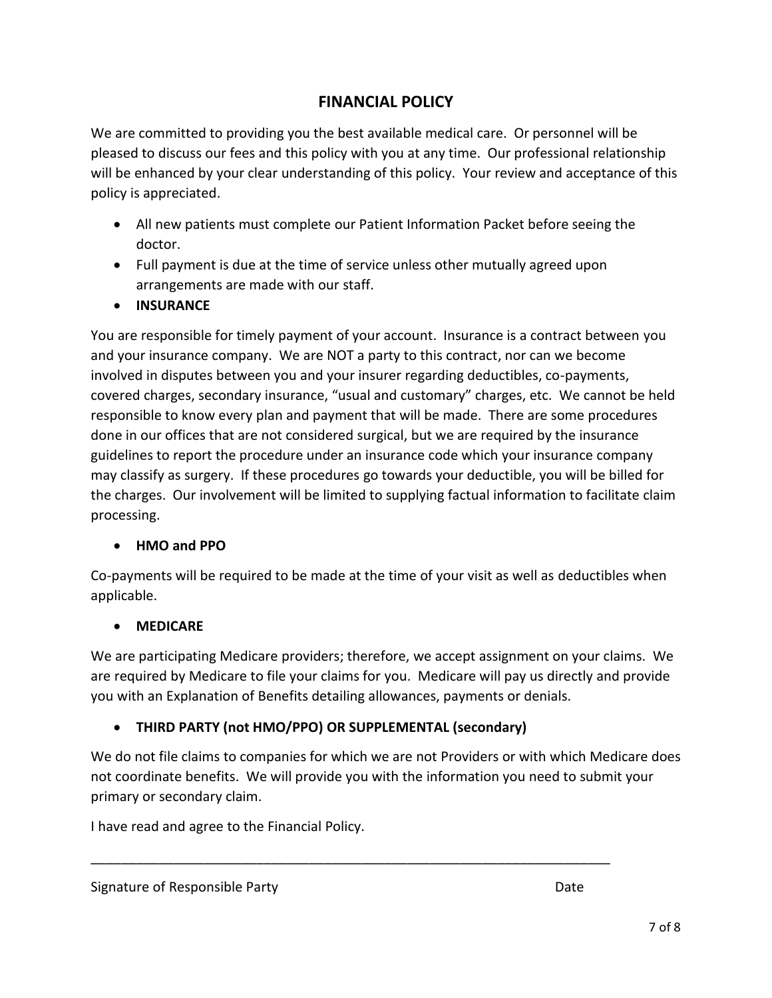# **FINANCIAL POLICY**

We are committed to providing you the best available medical care. Or personnel will be pleased to discuss our fees and this policy with you at any time. Our professional relationship will be enhanced by your clear understanding of this policy. Your review and acceptance of this policy is appreciated.

- All new patients must complete our Patient Information Packet before seeing the doctor.
- Full payment is due at the time of service unless other mutually agreed upon arrangements are made with our staff.
- **INSURANCE**

You are responsible for timely payment of your account. Insurance is a contract between you and your insurance company. We are NOT a party to this contract, nor can we become involved in disputes between you and your insurer regarding deductibles, co-payments, covered charges, secondary insurance, "usual and customary" charges, etc. We cannot be held responsible to know every plan and payment that will be made. There are some procedures done in our offices that are not considered surgical, but we are required by the insurance guidelines to report the procedure under an insurance code which your insurance company may classify as surgery. If these procedures go towards your deductible, you will be billed for the charges. Our involvement will be limited to supplying factual information to facilitate claim processing.

## • **HMO and PPO**

Co-payments will be required to be made at the time of your visit as well as deductibles when applicable.

## • **MEDICARE**

We are participating Medicare providers; therefore, we accept assignment on your claims. We are required by Medicare to file your claims for you. Medicare will pay us directly and provide you with an Explanation of Benefits detailing allowances, payments or denials.

# • **THIRD PARTY (not HMO/PPO) OR SUPPLEMENTAL (secondary)**

We do not file claims to companies for which we are not Providers or with which Medicare does not coordinate benefits. We will provide you with the information you need to submit your primary or secondary claim.

\_\_\_\_\_\_\_\_\_\_\_\_\_\_\_\_\_\_\_\_\_\_\_\_\_\_\_\_\_\_\_\_\_\_\_\_\_\_\_\_\_\_\_\_\_\_\_\_\_\_\_\_\_\_\_\_\_\_\_\_\_\_\_\_\_\_\_\_\_

I have read and agree to the Financial Policy.

Signature of Responsible Party **Date** Date **Date**